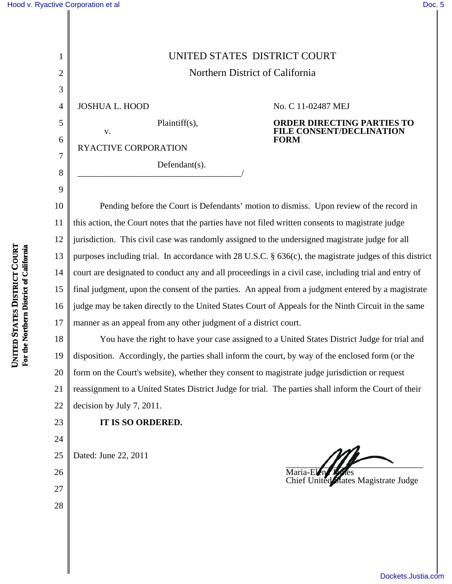1

2

3

4

5

6

7

8

9

1<br>
Nothern District of California<br>
1<br>
1<br>
1 DOSHUA L. HOOD<br>
1<br>
1 Plaintiff(s),<br>
1<br>
1<br>
1 Plaintiff(s).<br>
1<br>
1 Plaintiff(s).<br>
2<br>
1 Plaintiff(s).<br>
2<br>
1 Plaintiff(s).<br>
2<br>
1 Plaintiff(s).<br>
2<br>
1 Plaintiff(s).<br>
2<br>
1 Plaintiff(s).<br> Northern District of California JOSHUA L. HOOD Plaintiff(s), v. RYACTIVE CORPORATION Defendant(s). \_\_\_\_\_\_\_\_\_\_\_\_\_\_\_\_\_\_\_\_\_\_\_\_\_\_\_\_\_\_\_\_\_\_\_\_\_/ No. C 11-02487 MEJ **ORDER DIRECTING PARTIES TO FILE CONSENT/DECLINATION FORM**

**UNITED STATES DISTRICT COURT For the Northern District of California U**

10 11 12 13 14 15 16 17 Pending before the Court is Defendants' motion to dismiss. Upon review of the record in this action, the Court notes that the parties have not filed written consents to magistrate judge jurisdiction. This civil case was randomly assigned to the undersigned magistrate judge for all purposes including trial. In accordance with 28 U.S.C. § 636(c), the magistrate judges of this district court are designated to conduct any and all proceedings in a civil case, including trial and entry of final judgment, upon the consent of the parties. An appeal from a judgment entered by a magistrate judge may be taken directly to the United States Court of Appeals for the Ninth Circuit in the same manner as an appeal from any other judgment of a district court.

18 19 20 21 22 You have the right to have your case assigned to a United States District Judge for trial and disposition. Accordingly, the parties shall inform the court, by way of the enclosed form (or the form on the Court's website), whether they consent to magistrate judge jurisdiction or request reassignment to a United States District Judge for trial. The parties shall inform the Court of their decision by July 7, 2011.

**IT IS SO ORDERED.**

25

23

24

26

27

28

Dated: June 22, 2011 Maria-Elen

Chief United States Magistrate Judge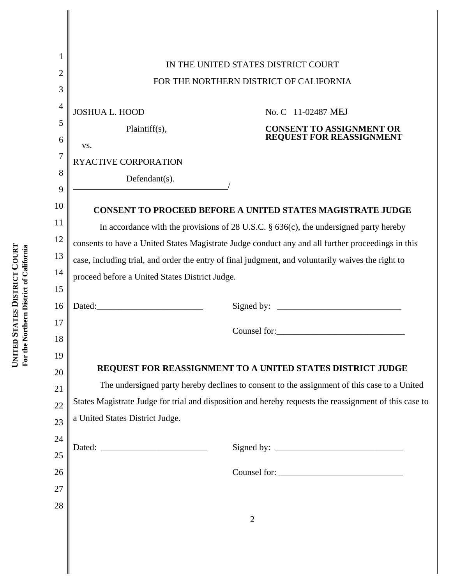|                                                | IN THE UNITED STATES DISTRICT COURT                                                                    |
|------------------------------------------------|--------------------------------------------------------------------------------------------------------|
| FOR THE NORTHERN DISTRICT OF CALIFORNIA        |                                                                                                        |
| 3                                              |                                                                                                        |
| <b>JOSHUA L. HOOD</b>                          | No. C 11-02487 MEJ                                                                                     |
| Plaintiff(s),                                  | <b>CONSENT TO ASSIGNMENT OR</b>                                                                        |
| VS.                                            | REQUEST FOR REASSIGNMENT                                                                               |
| RYACTIVE CORPORATION                           |                                                                                                        |
| Defendant(s).                                  |                                                                                                        |
|                                                |                                                                                                        |
|                                                | <b>CONSENT TO PROCEED BEFORE A UNITED STATES MAGISTRATE JUDGE</b>                                      |
|                                                | In accordance with the provisions of 28 U.S.C. $\S$ 636(c), the undersigned party hereby               |
|                                                | consents to have a United States Magistrate Judge conduct any and all further proceedings in this      |
|                                                | case, including trial, and order the entry of final judgment, and voluntarily waives the right to      |
| proceed before a United States District Judge. |                                                                                                        |
| Dated:                                         |                                                                                                        |
|                                                |                                                                                                        |
|                                                |                                                                                                        |
|                                                |                                                                                                        |
|                                                | REQUEST FOR REASSIGNMENT TO A UNITED STATES DISTRICT JUDGE                                             |
|                                                | The undersigned party hereby declines to consent to the assignment of this case to a United            |
|                                                | States Magistrate Judge for trial and disposition and hereby requests the reassignment of this case to |
| a United States District Judge.                |                                                                                                        |
|                                                |                                                                                                        |
| 24<br>25                                       |                                                                                                        |
|                                                | Counsel for:                                                                                           |
| 26<br>27                                       |                                                                                                        |
|                                                |                                                                                                        |
| 28                                             | $\overline{2}$                                                                                         |
|                                                |                                                                                                        |
|                                                |                                                                                                        |

 $\mathbf{\mathsf{I}}$